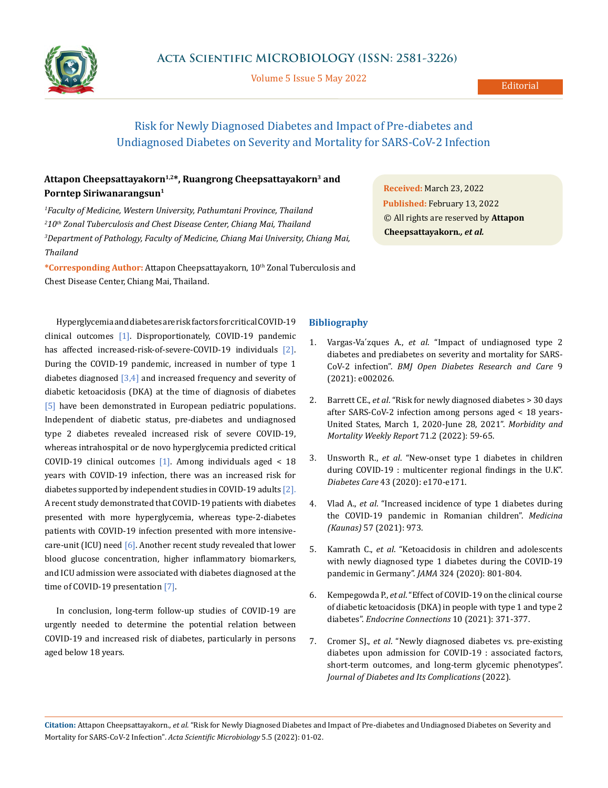

Volume 5 Issue 5 May 2022

# Risk for Newly Diagnosed Diabetes and Impact of Pre-diabetes and Undiagnosed Diabetes on Severity and Mortality for SARS-CoV-2 Infection

## Attapon Cheepsattayakorn<sup>1,2\*</sup>, Ruangrong Cheepsattayakorn<sup>3</sup> and **Porntep Siriwanarangsun1**

 *Faculty of Medicine, Western University, Pathumtani Province, Thailand 10th Zonal Tuberculosis and Chest Disease Center, Chiang Mai, Thailand Department of Pathology, Faculty of Medicine, Chiang Mai University, Chiang Mai, Thailand*

\*Corresponding Author: Attapon Cheepsattayakorn, 10<sup>th</sup> Zonal Tuberculosis and Chest Disease Center, Chiang Mai, Thailand.

Hyperglycemia and diabetes are risk factors for critical COVID-19 clinical outcomes [1]. Disproportionately, COVID-19 pandemic has affected increased-risk-of-severe-COVID-19 individuals [2]. During the COVID-19 pandemic, increased in number of type 1 diabetes diagnosed  $[3,4]$  and increased frequency and severity of diabetic ketoacidosis (DKA) at the time of diagnosis of diabetes [5] have been demonstrated in European pediatric populations. Independent of diabetic status, pre-diabetes and undiagnosed type 2 diabetes revealed increased risk of severe COVID-19, whereas intrahospital or de novo hyperglycemia predicted critical COVID-19 clinical outcomes  $[1]$ . Among individuals aged < 18 years with COVID-19 infection, there was an increased risk for diabetes supported by independent studies in COVID-19 adults [2]. A recent study demonstrated that COVID-19 patients with diabetes presented with more hyperglycemia, whereas type-2-diabetes patients with COVID-19 infection presented with more intensivecare-unit (ICU) need  $[6]$ . Another recent study revealed that lower blood glucose concentration, higher inflammatory biomarkers, and ICU admission were associated with diabetes diagnosed at the time of COVID-19 presentation [7].

In conclusion, long-term follow-up studies of COVID-19 are urgently needed to determine the potential relation between COVID-19 and increased risk of diabetes, particularly in persons aged below 18 years.

## **Bibliography**

- 1. Vargas-Va´zques A., *et al*[. "Impact of undiagnosed type 2](https://pubmed.ncbi.nlm.nih.gov/33593750/)  [diabetes and prediabetes on severity and mortality for SARS-](https://pubmed.ncbi.nlm.nih.gov/33593750/)CoV-2 infection". *[BMJ Open Diabetes Research and Care](https://pubmed.ncbi.nlm.nih.gov/33593750/)* 9 [\(2021\): e002026.](https://pubmed.ncbi.nlm.nih.gov/33593750/)
- 2. Barrett CE., *et al*[. "Risk for newly diagnosed diabetes > 30 days](https://www.cdc.gov/mmwr/volumes/71/wr/mm7102e2.htm)  [after SARS-CoV-2 infection among persons aged < 18 years-](https://www.cdc.gov/mmwr/volumes/71/wr/mm7102e2.htm)[United States, March 1, 2020-June 28, 2021".](https://www.cdc.gov/mmwr/volumes/71/wr/mm7102e2.htm) *Morbidity and [Mortality Weekly Report](https://www.cdc.gov/mmwr/volumes/71/wr/mm7102e2.htm)* 71.2 (2022): 59-65.
- 3. Unsworth R., *et al*[. "New-onset type 1 diabetes in children](https://doi.org/10.2337/dc20-1551)  [during COVID-19 : multicenter regional findings in the U.K".](https://doi.org/10.2337/dc20-1551)  *Diabetes Care* [43 \(2020\): e170-e171.](https://doi.org/10.2337/dc20-1551)
- 4. Vlad A., *et al*[. "Increased incidence of type 1 diabetes during](https://doi.org/10.3390/medicina57090973)  [the COVID-19 pandemic in Romanian children".](https://doi.org/10.3390/medicina57090973) *Medicina (Kaunas)* [57 \(2021\): 973.](https://doi.org/10.3390/medicina57090973)
- 5. Kamrath C., *et al*[. "Ketoacidosis in children and adolescents](https://doi.org/10.1001/jama.2020.13445)  [with newly diagnosed type 1 diabetes during the COVID-19](https://doi.org/10.1001/jama.2020.13445)  [pandemic in Germany".](https://doi.org/10.1001/jama.2020.13445) *JAMA* 324 (2020): 801-804.
- 6. Kempegowda P., *et al*[. "Effect of COVID-19 on the clinical course](https://pubmed.ncbi.nlm.nih.gov/33666571/)  [of diabetic ketoacidosis \(DKA\) in people with type 1 and type 2](https://pubmed.ncbi.nlm.nih.gov/33666571/)  diabetes". *[Endocrine Connections](https://pubmed.ncbi.nlm.nih.gov/33666571/)* 10 (2021): 371-377.
- 7. Cromer SJ., *et al*[. "Newly diagnosed diabetes vs. pre-existing](https://doi.org/10.1016/j.jdiacomp.2022.108145)  [diabetes upon admission for COVID-19 : associated factors,](https://doi.org/10.1016/j.jdiacomp.2022.108145)  [short-term outcomes, and long-term glycemic phenotypes".](https://doi.org/10.1016/j.jdiacomp.2022.108145)  *[Journal of Diabetes and Its Complications](https://doi.org/10.1016/j.jdiacomp.2022.108145)* (2022).

**Citation:** Attapon Cheepsattayakorn*., et al.* "Risk for Newly Diagnosed Diabetes and Impact of Pre-diabetes and Undiagnosed Diabetes on Severity and Mortality for SARS-CoV-2 Infection". *Acta Scientific Microbiology* 5.5 (2022): 01-02.

**Received:** March 23, 2022 **Published:** February 13, 2022 © All rights are reserved by **Attapon Cheepsattayakorn***., et al.*